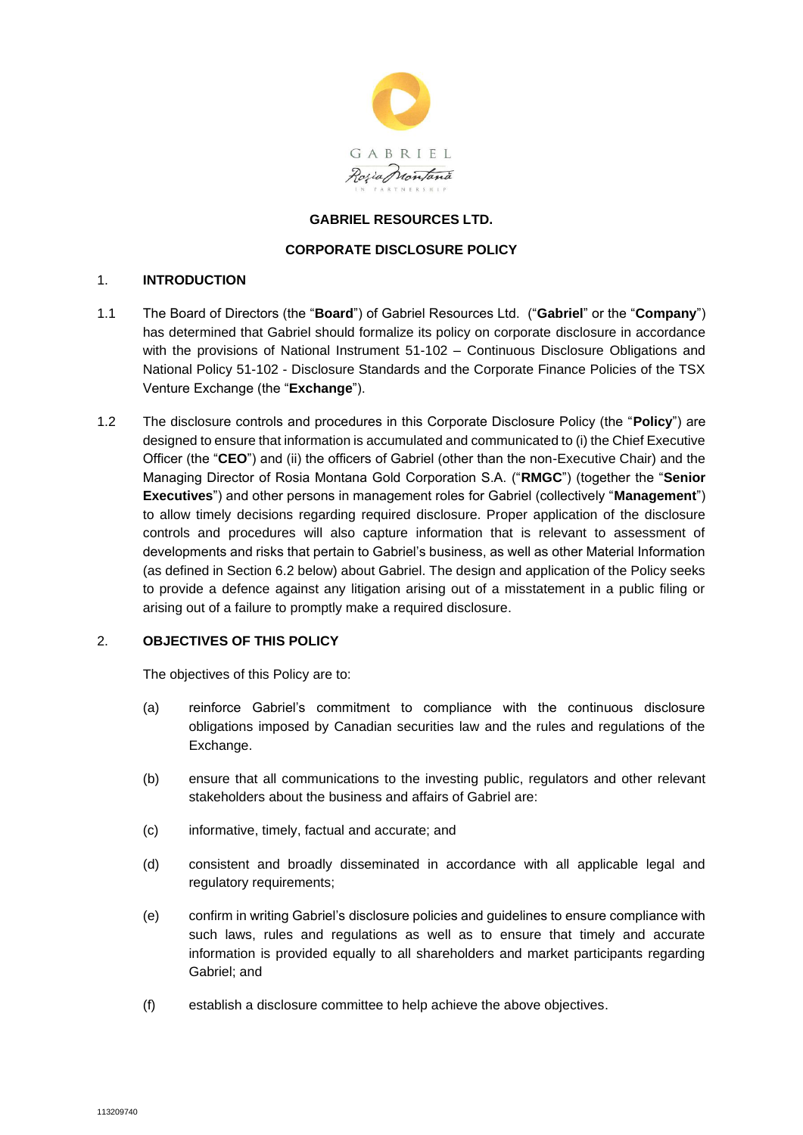

#### **GABRIEL RESOURCES LTD.**

#### **CORPORATE DISCLOSURE POLICY**

#### 1. **INTRODUCTION**

- 1.1 The Board of Directors (the "**Board**") of Gabriel Resources Ltd. ("**Gabriel**" or the "**Company**") has determined that Gabriel should formalize its policy on corporate disclosure in accordance with the provisions of National Instrument 51-102 – Continuous Disclosure Obligations and National Policy 51-102 - Disclosure Standards and the Corporate Finance Policies of the TSX Venture Exchange (the "**Exchange**").
- 1.2 The disclosure controls and procedures in this Corporate Disclosure Policy (the "**Policy**") are designed to ensure that information is accumulated and communicated to (i) the Chief Executive Officer (the "**CEO**") and (ii) the officers of Gabriel (other than the non-Executive Chair) and the Managing Director of Rosia Montana Gold Corporation S.A. ("**RMGC**") (together the "**Senior Executives**") and other persons in management roles for Gabriel (collectively "**Management**") to allow timely decisions regarding required disclosure. Proper application of the disclosure controls and procedures will also capture information that is relevant to assessment of developments and risks that pertain to Gabriel's business, as well as other Material Information (as defined in Section 6.2 below) about Gabriel. The design and application of the Policy seeks to provide a defence against any litigation arising out of a misstatement in a public filing or arising out of a failure to promptly make a required disclosure.

## 2. **OBJECTIVES OF THIS POLICY**

The objectives of this Policy are to:

- (a) reinforce Gabriel's commitment to compliance with the continuous disclosure obligations imposed by Canadian securities law and the rules and regulations of the Exchange.
- (b) ensure that all communications to the investing public, regulators and other relevant stakeholders about the business and affairs of Gabriel are:
- (c) informative, timely, factual and accurate; and
- (d) consistent and broadly disseminated in accordance with all applicable legal and regulatory requirements;
- (e) confirm in writing Gabriel's disclosure policies and guidelines to ensure compliance with such laws, rules and regulations as well as to ensure that timely and accurate information is provided equally to all shareholders and market participants regarding Gabriel; and
- (f) establish a disclosure committee to help achieve the above objectives.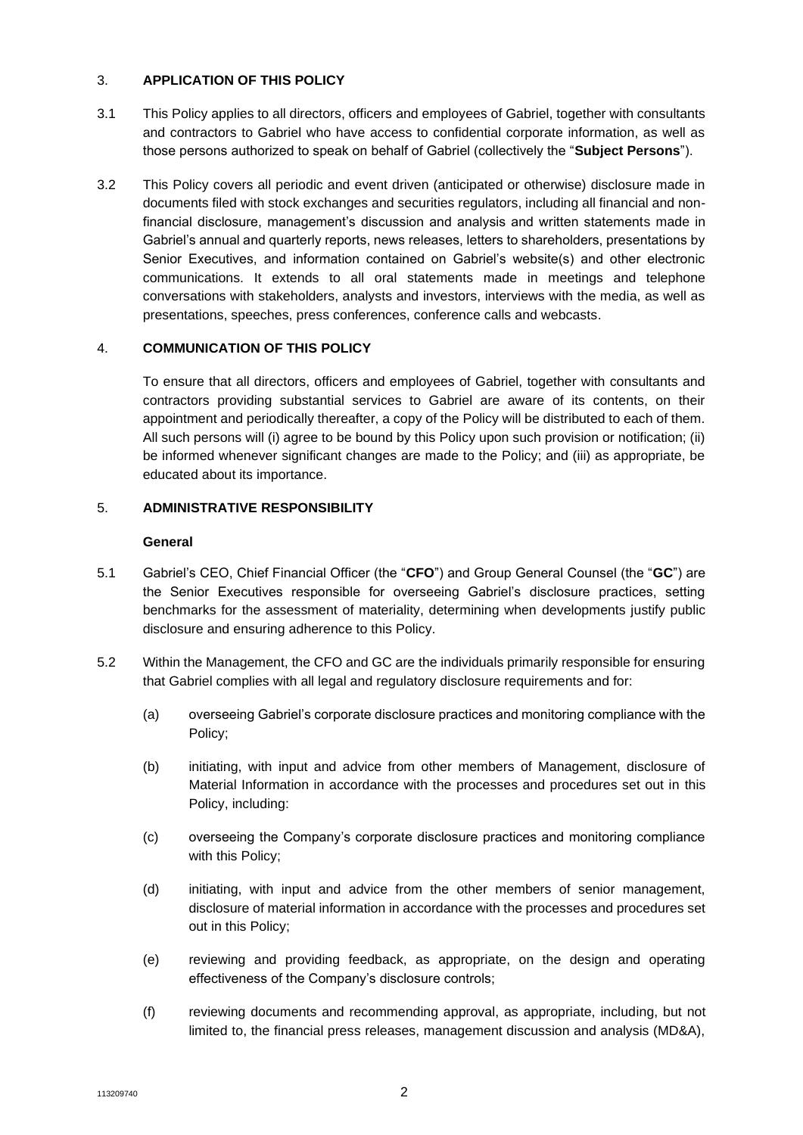## 3. **APPLICATION OF THIS POLICY**

- 3.1 This Policy applies to all directors, officers and employees of Gabriel, together with consultants and contractors to Gabriel who have access to confidential corporate information, as well as those persons authorized to speak on behalf of Gabriel (collectively the "**Subject Persons**").
- 3.2 This Policy covers all periodic and event driven (anticipated or otherwise) disclosure made in documents filed with stock exchanges and securities regulators, including all financial and nonfinancial disclosure, management's discussion and analysis and written statements made in Gabriel's annual and quarterly reports, news releases, letters to shareholders, presentations by Senior Executives, and information contained on Gabriel's website(s) and other electronic communications. It extends to all oral statements made in meetings and telephone conversations with stakeholders, analysts and investors, interviews with the media, as well as presentations, speeches, press conferences, conference calls and webcasts.

# 4. **COMMUNICATION OF THIS POLICY**

To ensure that all directors, officers and employees of Gabriel, together with consultants and contractors providing substantial services to Gabriel are aware of its contents, on their appointment and periodically thereafter, a copy of the Policy will be distributed to each of them. All such persons will (i) agree to be bound by this Policy upon such provision or notification; (ii) be informed whenever significant changes are made to the Policy; and (iii) as appropriate, be educated about its importance.

# 5. **ADMINISTRATIVE RESPONSIBILITY**

#### **General**

- 5.1 Gabriel's CEO, Chief Financial Officer (the "**CFO**") and Group General Counsel (the "**GC**") are the Senior Executives responsible for overseeing Gabriel's disclosure practices, setting benchmarks for the assessment of materiality, determining when developments justify public disclosure and ensuring adherence to this Policy.
- 5.2 Within the Management, the CFO and GC are the individuals primarily responsible for ensuring that Gabriel complies with all legal and regulatory disclosure requirements and for:
	- (a) overseeing Gabriel's corporate disclosure practices and monitoring compliance with the Policy;
	- (b) initiating, with input and advice from other members of Management, disclosure of Material Information in accordance with the processes and procedures set out in this Policy, including:
	- (c) overseeing the Company's corporate disclosure practices and monitoring compliance with this Policy;
	- (d) initiating, with input and advice from the other members of senior management, disclosure of material information in accordance with the processes and procedures set out in this Policy;
	- (e) reviewing and providing feedback, as appropriate, on the design and operating effectiveness of the Company's disclosure controls;
	- (f) reviewing documents and recommending approval, as appropriate, including, but not limited to, the financial press releases, management discussion and analysis (MD&A),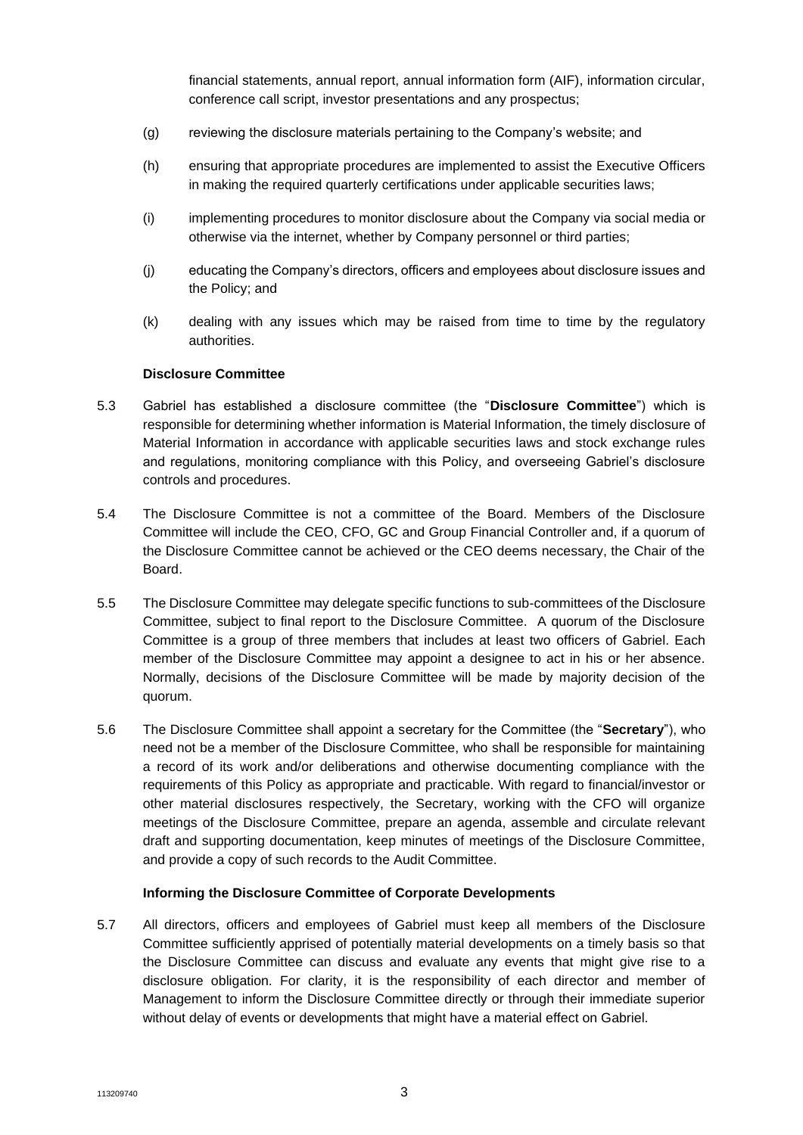financial statements, annual report, annual information form (AIF), information circular, conference call script, investor presentations and any prospectus;

- (g) reviewing the disclosure materials pertaining to the Company's website; and
- (h) ensuring that appropriate procedures are implemented to assist the Executive Officers in making the required quarterly certifications under applicable securities laws;
- (i) implementing procedures to monitor disclosure about the Company via social media or otherwise via the internet, whether by Company personnel or third parties;
- (j) educating the Company's directors, officers and employees about disclosure issues and the Policy; and
- (k) dealing with any issues which may be raised from time to time by the regulatory authorities.

#### **Disclosure Committee**

- 5.3 Gabriel has established a disclosure committee (the "**Disclosure Committee**") which is responsible for determining whether information is Material Information, the timely disclosure of Material Information in accordance with applicable securities laws and stock exchange rules and regulations, monitoring compliance with this Policy, and overseeing Gabriel's disclosure controls and procedures.
- 5.4 The Disclosure Committee is not a committee of the Board. Members of the Disclosure Committee will include the CEO, CFO, GC and Group Financial Controller and, if a quorum of the Disclosure Committee cannot be achieved or the CEO deems necessary, the Chair of the Board.
- 5.5 The Disclosure Committee may delegate specific functions to sub-committees of the Disclosure Committee, subject to final report to the Disclosure Committee. A quorum of the Disclosure Committee is a group of three members that includes at least two officers of Gabriel. Each member of the Disclosure Committee may appoint a designee to act in his or her absence. Normally, decisions of the Disclosure Committee will be made by majority decision of the quorum.
- 5.6 The Disclosure Committee shall appoint a secretary for the Committee (the "**Secretary**"), who need not be a member of the Disclosure Committee, who shall be responsible for maintaining a record of its work and/or deliberations and otherwise documenting compliance with the requirements of this Policy as appropriate and practicable. With regard to financial/investor or other material disclosures respectively, the Secretary, working with the CFO will organize meetings of the Disclosure Committee, prepare an agenda, assemble and circulate relevant draft and supporting documentation, keep minutes of meetings of the Disclosure Committee, and provide a copy of such records to the Audit Committee.

## **Informing the Disclosure Committee of Corporate Developments**

5.7 All directors, officers and employees of Gabriel must keep all members of the Disclosure Committee sufficiently apprised of potentially material developments on a timely basis so that the Disclosure Committee can discuss and evaluate any events that might give rise to a disclosure obligation. For clarity, it is the responsibility of each director and member of Management to inform the Disclosure Committee directly or through their immediate superior without delay of events or developments that might have a material effect on Gabriel.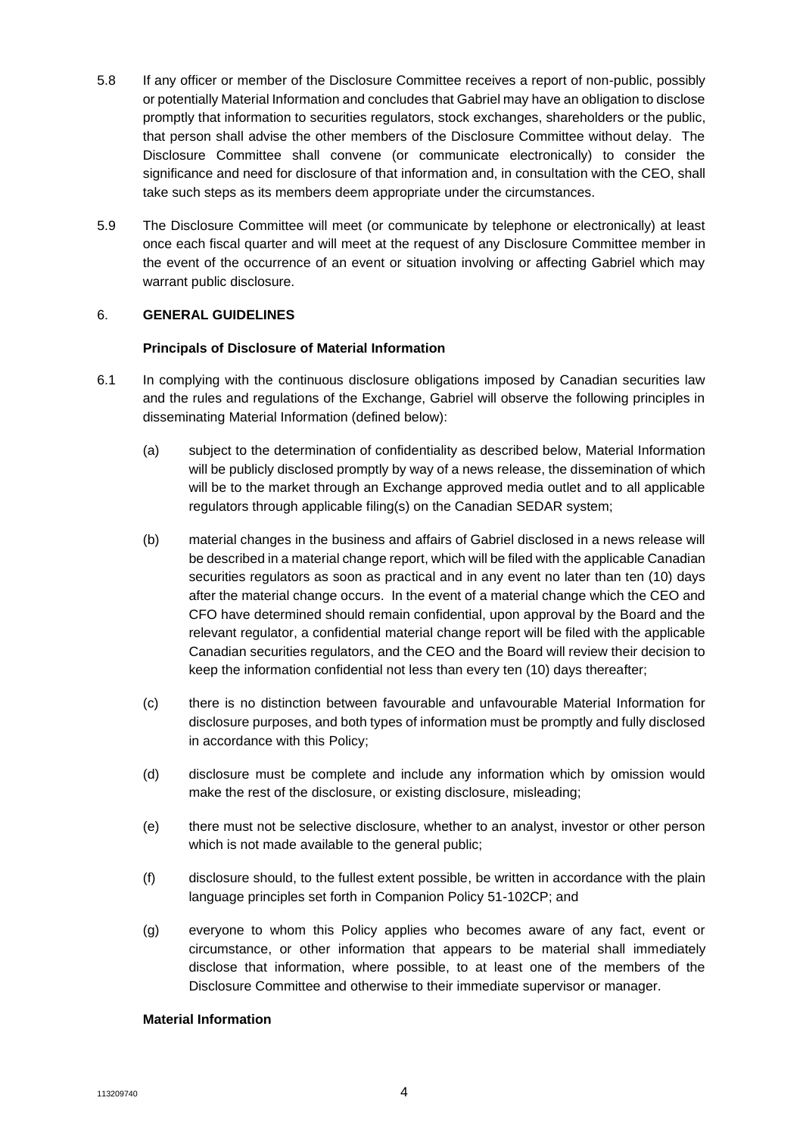- 5.8 If any officer or member of the Disclosure Committee receives a report of non-public, possibly or potentially Material Information and concludes that Gabriel may have an obligation to disclose promptly that information to securities regulators, stock exchanges, shareholders or the public, that person shall advise the other members of the Disclosure Committee without delay. The Disclosure Committee shall convene (or communicate electronically) to consider the significance and need for disclosure of that information and, in consultation with the CEO, shall take such steps as its members deem appropriate under the circumstances.
- 5.9 The Disclosure Committee will meet (or communicate by telephone or electronically) at least once each fiscal quarter and will meet at the request of any Disclosure Committee member in the event of the occurrence of an event or situation involving or affecting Gabriel which may warrant public disclosure.

## 6. **GENERAL GUIDELINES**

#### **Principals of Disclosure of Material Information**

- 6.1 In complying with the continuous disclosure obligations imposed by Canadian securities law and the rules and regulations of the Exchange, Gabriel will observe the following principles in disseminating Material Information (defined below):
	- (a) subject to the determination of confidentiality as described below, Material Information will be publicly disclosed promptly by way of a news release, the dissemination of which will be to the market through an Exchange approved media outlet and to all applicable regulators through applicable filing(s) on the Canadian SEDAR system;
	- (b) material changes in the business and affairs of Gabriel disclosed in a news release will be described in a material change report, which will be filed with the applicable Canadian securities regulators as soon as practical and in any event no later than ten (10) days after the material change occurs. In the event of a material change which the CEO and CFO have determined should remain confidential, upon approval by the Board and the relevant regulator, a confidential material change report will be filed with the applicable Canadian securities regulators, and the CEO and the Board will review their decision to keep the information confidential not less than every ten (10) days thereafter;
	- (c) there is no distinction between favourable and unfavourable Material Information for disclosure purposes, and both types of information must be promptly and fully disclosed in accordance with this Policy;
	- (d) disclosure must be complete and include any information which by omission would make the rest of the disclosure, or existing disclosure, misleading;
	- (e) there must not be selective disclosure, whether to an analyst, investor or other person which is not made available to the general public;
	- (f) disclosure should, to the fullest extent possible, be written in accordance with the plain language principles set forth in Companion Policy 51-102CP; and
	- (g) everyone to whom this Policy applies who becomes aware of any fact, event or circumstance, or other information that appears to be material shall immediately disclose that information, where possible, to at least one of the members of the Disclosure Committee and otherwise to their immediate supervisor or manager.

#### **Material Information**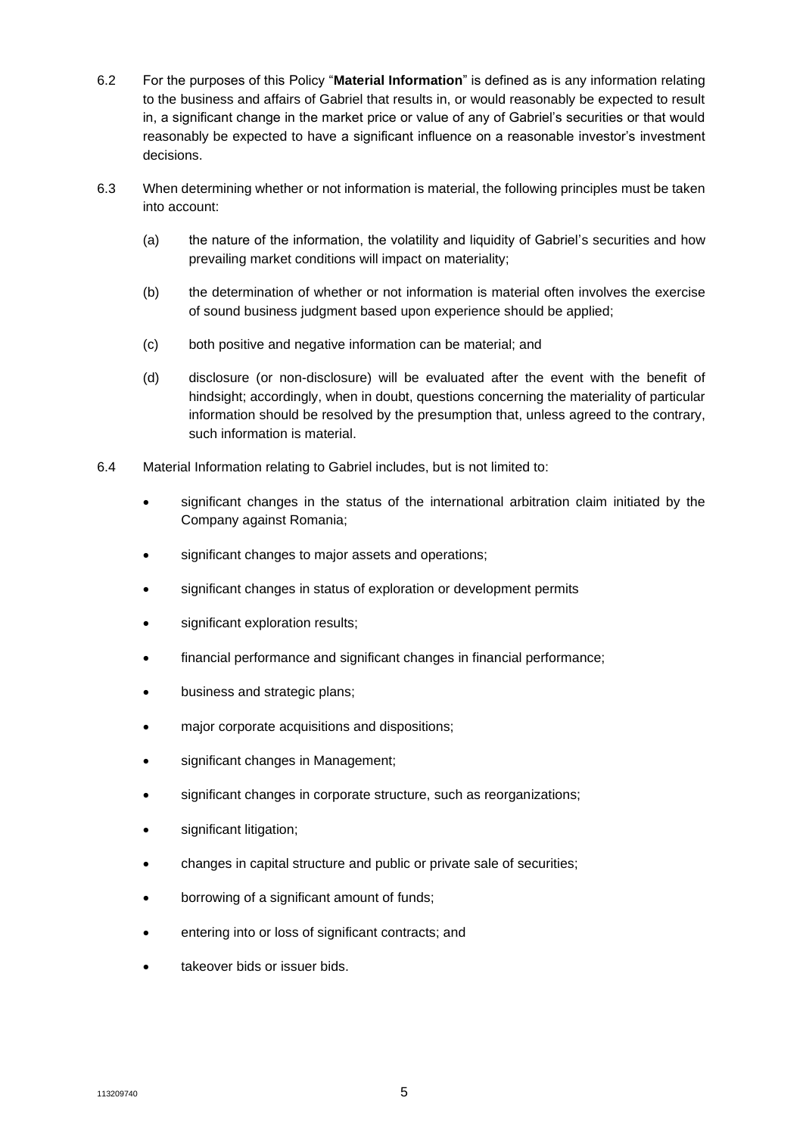- 6.2 For the purposes of this Policy "**Material Information**" is defined as is any information relating to the business and affairs of Gabriel that results in, or would reasonably be expected to result in, a significant change in the market price or value of any of Gabriel's securities or that would reasonably be expected to have a significant influence on a reasonable investor's investment decisions.
- 6.3 When determining whether or not information is material, the following principles must be taken into account:
	- (a) the nature of the information, the volatility and liquidity of Gabriel's securities and how prevailing market conditions will impact on materiality;
	- (b) the determination of whether or not information is material often involves the exercise of sound business judgment based upon experience should be applied;
	- (c) both positive and negative information can be material; and
	- (d) disclosure (or non-disclosure) will be evaluated after the event with the benefit of hindsight; accordingly, when in doubt, questions concerning the materiality of particular information should be resolved by the presumption that, unless agreed to the contrary, such information is material.
- 6.4 Material Information relating to Gabriel includes, but is not limited to:
	- significant changes in the status of the international arbitration claim initiated by the Company against Romania;
	- significant changes to major assets and operations;
	- significant changes in status of exploration or development permits
	- significant exploration results;
	- financial performance and significant changes in financial performance;
	- business and strategic plans:
	- major corporate acquisitions and dispositions;
	- significant changes in Management;
	- significant changes in corporate structure, such as reorganizations;
	- significant litigation;
	- changes in capital structure and public or private sale of securities;
	- borrowing of a significant amount of funds;
	- entering into or loss of significant contracts; and
	- takeover bids or issuer bids.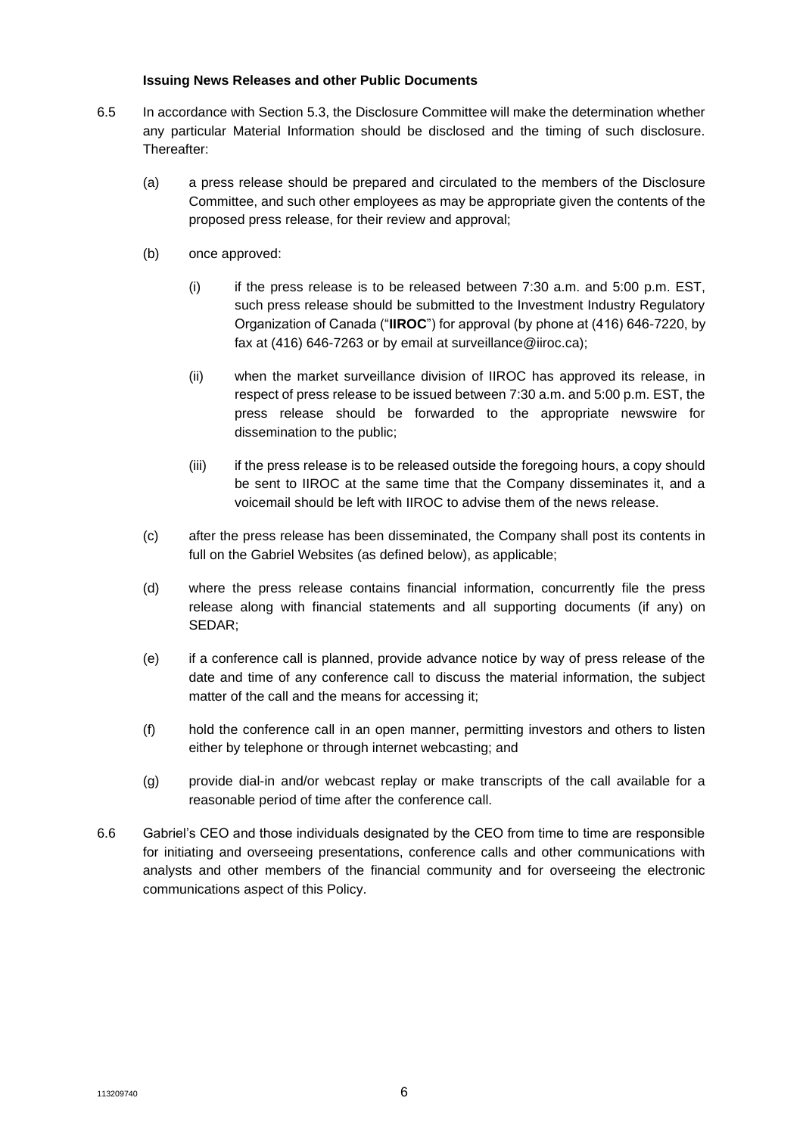#### **Issuing News Releases and other Public Documents**

- 6.5 In accordance with Section 5.3, the Disclosure Committee will make the determination whether any particular Material Information should be disclosed and the timing of such disclosure. Thereafter:
	- (a) a press release should be prepared and circulated to the members of the Disclosure Committee, and such other employees as may be appropriate given the contents of the proposed press release, for their review and approval;
	- (b) once approved:
		- (i) if the press release is to be released between  $7:30$  a.m. and  $5:00$  p.m. EST, such press release should be submitted to the Investment Industry Regulatory Organization of Canada ("**IIROC**") for approval (by phone at (416) 646-7220, by fax at (416) 646-7263 or by email at surveillance@iiroc.ca);
		- (ii) when the market surveillance division of IIROC has approved its release, in respect of press release to be issued between 7:30 a.m. and 5:00 p.m. EST, the press release should be forwarded to the appropriate newswire for dissemination to the public;
		- (iii) if the press release is to be released outside the foregoing hours, a copy should be sent to IIROC at the same time that the Company disseminates it, and a voicemail should be left with IIROC to advise them of the news release.
	- (c) after the press release has been disseminated, the Company shall post its contents in full on the Gabriel Websites (as defined below), as applicable;
	- (d) where the press release contains financial information, concurrently file the press release along with financial statements and all supporting documents (if any) on SEDAR;
	- (e) if a conference call is planned, provide advance notice by way of press release of the date and time of any conference call to discuss the material information, the subject matter of the call and the means for accessing it;
	- (f) hold the conference call in an open manner, permitting investors and others to listen either by telephone or through internet webcasting; and
	- (g) provide dial-in and/or webcast replay or make transcripts of the call available for a reasonable period of time after the conference call.
- 6.6 Gabriel's CEO and those individuals designated by the CEO from time to time are responsible for initiating and overseeing presentations, conference calls and other communications with analysts and other members of the financial community and for overseeing the electronic communications aspect of this Policy.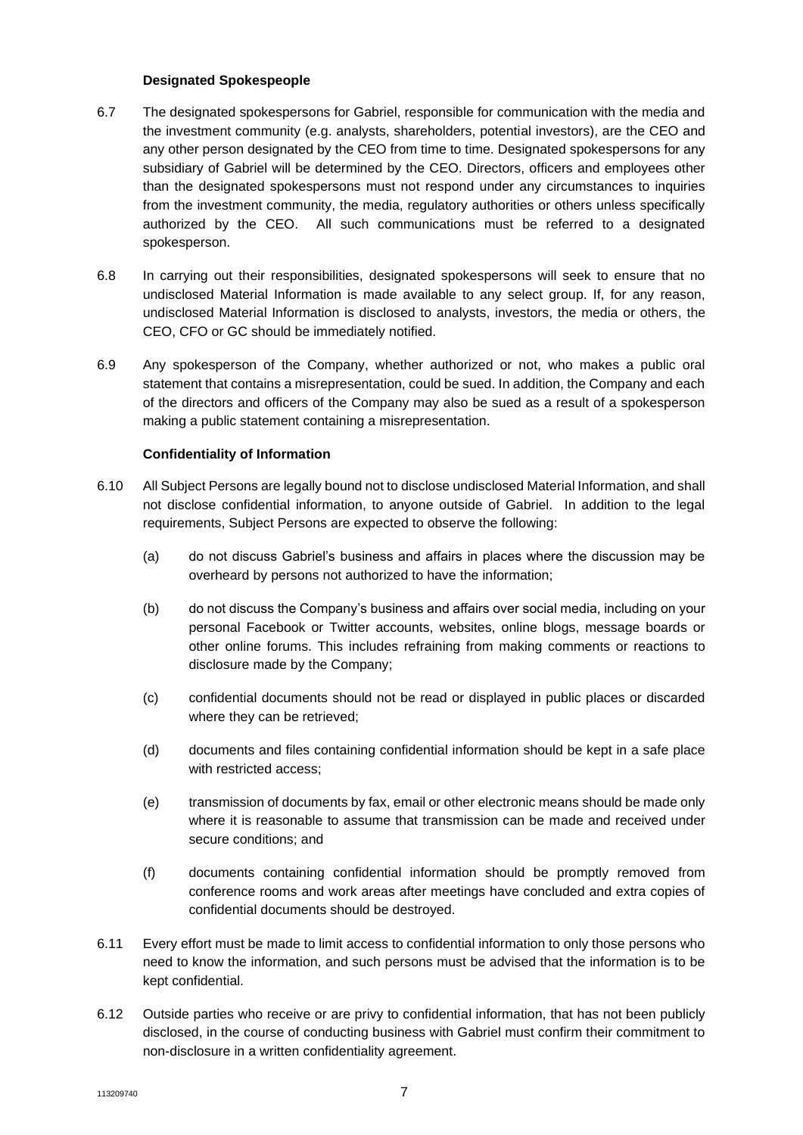#### **Designated Spokespeople**

- 6.7 The designated spokespersons for Gabriel, responsible for communication with the media and the investment community (e.g. analysts, shareholders, potential investors), are the CEO and any other person designated by the CEO from time to time. Designated spokespersons for any subsidiary of Gabriel will be determined by the CEO. Directors, officers and employees other than the designated spokespersons must not respond under any circumstances to inquiries from the investment community, the media, regulatory authorities or others unless specifically authorized by the CEO. All such communications must be referred to a designated spokesperson.
- 6.8 In carrying out their responsibilities, designated spokespersons will seek to ensure that no undisclosed Material Information is made available to any select group. If, for any reason, undisclosed Material Information is disclosed to analysts, investors, the media or others, the CEO, CFO or GC should be immediately notified.
- 6.9 Any spokesperson of the Company, whether authorized or not, who makes a public oral statement that contains a misrepresentation, could be sued. In addition, the Company and each of the directors and officers of the Company may also be sued as a result of a spokesperson making a public statement containing a misrepresentation.

## **Confidentiality of Information**

- 6.10 All Subject Persons are legally bound not to disclose undisclosed Material Information, and shall not disclose confidential information, to anyone outside of Gabriel. In addition to the legal requirements, Subject Persons are expected to observe the following:
	- (a) do not discuss Gabriel's business and affairs in places where the discussion may be overheard by persons not authorized to have the information;
	- (b) do not discuss the Company's business and affairs over social media, including on your personal Facebook or Twitter accounts, websites, online blogs, message boards or other online forums. This includes refraining from making comments or reactions to disclosure made by the Company;
	- (c) confidential documents should not be read or displayed in public places or discarded where they can be retrieved;
	- (d) documents and files containing confidential information should be kept in a safe place with restricted access;
	- (e) transmission of documents by fax, email or other electronic means should be made only where it is reasonable to assume that transmission can be made and received under secure conditions; and
	- (f) documents containing confidential information should be promptly removed from conference rooms and work areas after meetings have concluded and extra copies of confidential documents should be destroyed.
- 6.11 Every effort must be made to limit access to confidential information to only those persons who need to know the information, and such persons must be advised that the information is to be kept confidential.
- 6.12 Outside parties who receive or are privy to confidential information, that has not been publicly disclosed, in the course of conducting business with Gabriel must confirm their commitment to non-disclosure in a written confidentiality agreement.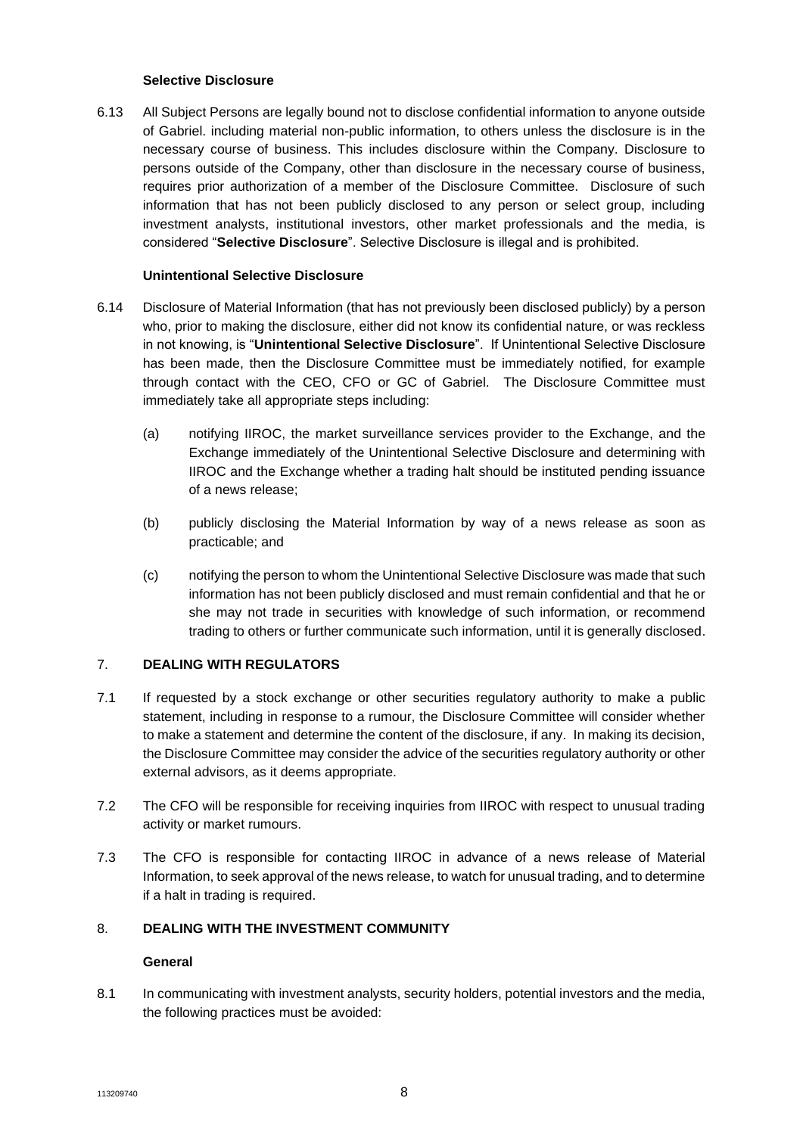#### **Selective Disclosure**

6.13 All Subject Persons are legally bound not to disclose confidential information to anyone outside of Gabriel. including material non-public information, to others unless the disclosure is in the necessary course of business. This includes disclosure within the Company. Disclosure to persons outside of the Company, other than disclosure in the necessary course of business, requires prior authorization of a member of the Disclosure Committee. Disclosure of such information that has not been publicly disclosed to any person or select group, including investment analysts, institutional investors, other market professionals and the media, is considered "**Selective Disclosure**". Selective Disclosure is illegal and is prohibited.

## **Unintentional Selective Disclosure**

- 6.14 Disclosure of Material Information (that has not previously been disclosed publicly) by a person who, prior to making the disclosure, either did not know its confidential nature, or was reckless in not knowing, is "**Unintentional Selective Disclosure**". If Unintentional Selective Disclosure has been made, then the Disclosure Committee must be immediately notified, for example through contact with the CEO, CFO or GC of Gabriel. The Disclosure Committee must immediately take all appropriate steps including:
	- (a) notifying IIROC, the market surveillance services provider to the Exchange, and the Exchange immediately of the Unintentional Selective Disclosure and determining with IIROC and the Exchange whether a trading halt should be instituted pending issuance of a news release;
	- (b) publicly disclosing the Material Information by way of a news release as soon as practicable; and
	- (c) notifying the person to whom the Unintentional Selective Disclosure was made that such information has not been publicly disclosed and must remain confidential and that he or she may not trade in securities with knowledge of such information, or recommend trading to others or further communicate such information, until it is generally disclosed.

## 7. **DEALING WITH REGULATORS**

- 7.1 If requested by a stock exchange or other securities regulatory authority to make a public statement, including in response to a rumour, the Disclosure Committee will consider whether to make a statement and determine the content of the disclosure, if any. In making its decision, the Disclosure Committee may consider the advice of the securities regulatory authority or other external advisors, as it deems appropriate.
- 7.2 The CFO will be responsible for receiving inquiries from IIROC with respect to unusual trading activity or market rumours.
- 7.3 The CFO is responsible for contacting IIROC in advance of a news release of Material Information, to seek approval of the news release, to watch for unusual trading, and to determine if a halt in trading is required.

## 8. **DEALING WITH THE INVESTMENT COMMUNITY**

## **General**

8.1 In communicating with investment analysts, security holders, potential investors and the media, the following practices must be avoided: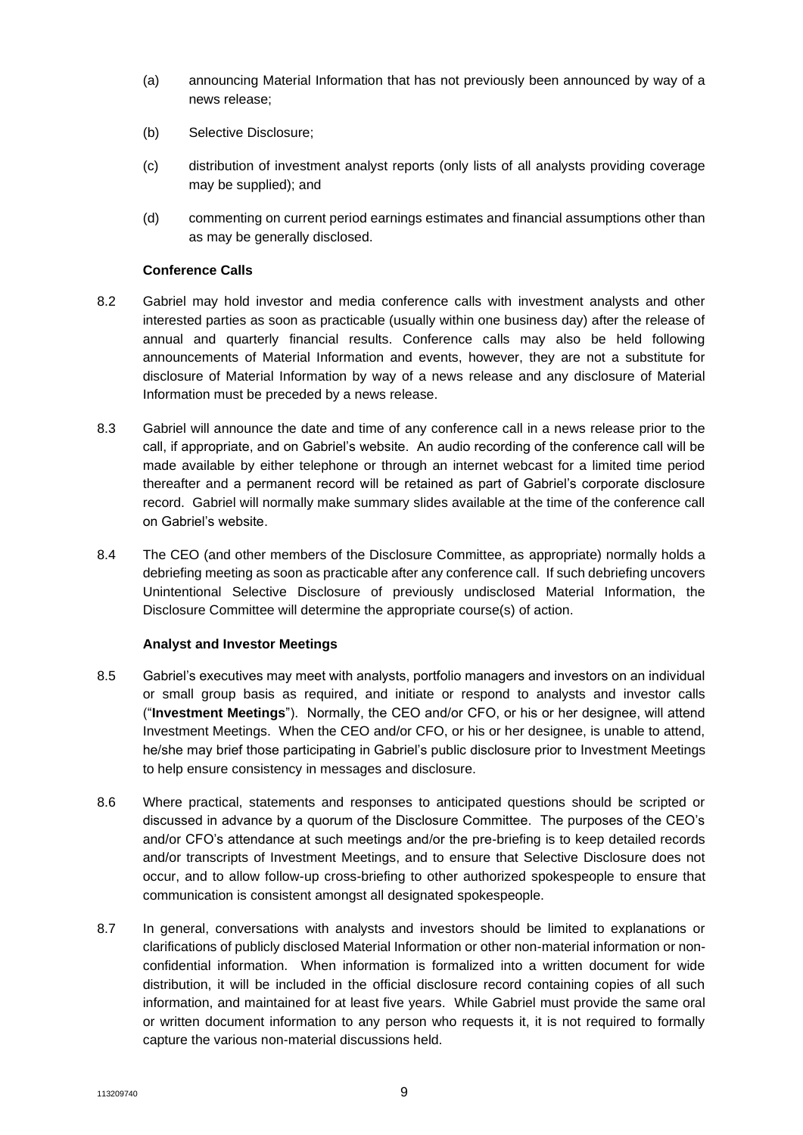- (a) announcing Material Information that has not previously been announced by way of a news release;
- (b) Selective Disclosure;
- (c) distribution of investment analyst reports (only lists of all analysts providing coverage may be supplied); and
- (d) commenting on current period earnings estimates and financial assumptions other than as may be generally disclosed.

## **Conference Calls**

- 8.2 Gabriel may hold investor and media conference calls with investment analysts and other interested parties as soon as practicable (usually within one business day) after the release of annual and quarterly financial results. Conference calls may also be held following announcements of Material Information and events, however, they are not a substitute for disclosure of Material Information by way of a news release and any disclosure of Material Information must be preceded by a news release.
- 8.3 Gabriel will announce the date and time of any conference call in a news release prior to the call, if appropriate, and on Gabriel's website. An audio recording of the conference call will be made available by either telephone or through an internet webcast for a limited time period thereafter and a permanent record will be retained as part of Gabriel's corporate disclosure record. Gabriel will normally make summary slides available at the time of the conference call on Gabriel's website.
- 8.4 The CEO (and other members of the Disclosure Committee, as appropriate) normally holds a debriefing meeting as soon as practicable after any conference call. If such debriefing uncovers Unintentional Selective Disclosure of previously undisclosed Material Information, the Disclosure Committee will determine the appropriate course(s) of action.

## **Analyst and Investor Meetings**

- 8.5 Gabriel's executives may meet with analysts, portfolio managers and investors on an individual or small group basis as required, and initiate or respond to analysts and investor calls ("**Investment Meetings**"). Normally, the CEO and/or CFO, or his or her designee, will attend Investment Meetings. When the CEO and/or CFO, or his or her designee, is unable to attend, he/she may brief those participating in Gabriel's public disclosure prior to Investment Meetings to help ensure consistency in messages and disclosure.
- 8.6 Where practical, statements and responses to anticipated questions should be scripted or discussed in advance by a quorum of the Disclosure Committee. The purposes of the CEO's and/or CFO's attendance at such meetings and/or the pre-briefing is to keep detailed records and/or transcripts of Investment Meetings, and to ensure that Selective Disclosure does not occur, and to allow follow-up cross-briefing to other authorized spokespeople to ensure that communication is consistent amongst all designated spokespeople.
- 8.7 In general, conversations with analysts and investors should be limited to explanations or clarifications of publicly disclosed Material Information or other non-material information or nonconfidential information. When information is formalized into a written document for wide distribution, it will be included in the official disclosure record containing copies of all such information, and maintained for at least five years. While Gabriel must provide the same oral or written document information to any person who requests it, it is not required to formally capture the various non-material discussions held.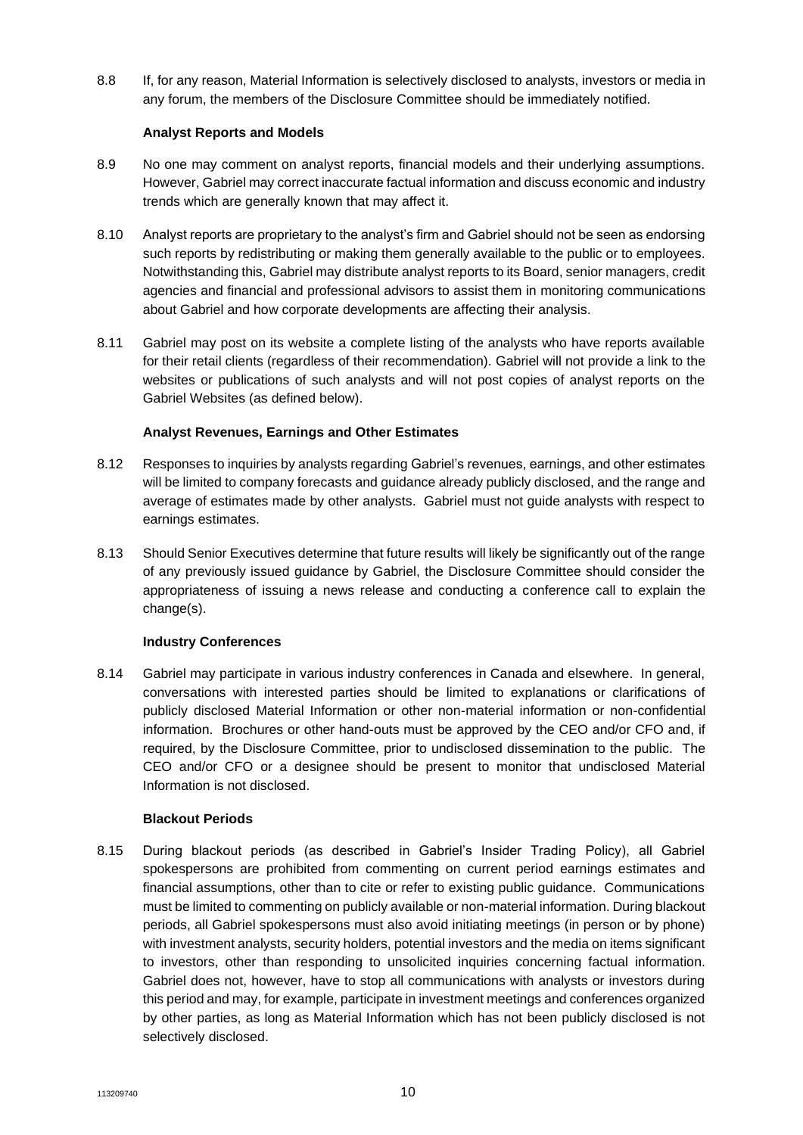8.8 If, for any reason, Material Information is selectively disclosed to analysts, investors or media in any forum, the members of the Disclosure Committee should be immediately notified.

## **Analyst Reports and Models**

- 8.9 No one may comment on analyst reports, financial models and their underlying assumptions. However, Gabriel may correct inaccurate factual information and discuss economic and industry trends which are generally known that may affect it.
- 8.10 Analyst reports are proprietary to the analyst's firm and Gabriel should not be seen as endorsing such reports by redistributing or making them generally available to the public or to employees. Notwithstanding this, Gabriel may distribute analyst reports to its Board, senior managers, credit agencies and financial and professional advisors to assist them in monitoring communications about Gabriel and how corporate developments are affecting their analysis.
- 8.11 Gabriel may post on its website a complete listing of the analysts who have reports available for their retail clients (regardless of their recommendation). Gabriel will not provide a link to the websites or publications of such analysts and will not post copies of analyst reports on the Gabriel Websites (as defined below).

# **Analyst Revenues, Earnings and Other Estimates**

- 8.12 Responses to inquiries by analysts regarding Gabriel's revenues, earnings, and other estimates will be limited to company forecasts and guidance already publicly disclosed, and the range and average of estimates made by other analysts. Gabriel must not guide analysts with respect to earnings estimates.
- 8.13 Should Senior Executives determine that future results will likely be significantly out of the range of any previously issued guidance by Gabriel, the Disclosure Committee should consider the appropriateness of issuing a news release and conducting a conference call to explain the change(s).

## **Industry Conferences**

8.14 Gabriel may participate in various industry conferences in Canada and elsewhere. In general, conversations with interested parties should be limited to explanations or clarifications of publicly disclosed Material Information or other non-material information or non-confidential information. Brochures or other hand-outs must be approved by the CEO and/or CFO and, if required, by the Disclosure Committee, prior to undisclosed dissemination to the public. The CEO and/or CFO or a designee should be present to monitor that undisclosed Material Information is not disclosed.

## **Blackout Periods**

8.15 During blackout periods (as described in Gabriel's Insider Trading Policy), all Gabriel spokespersons are prohibited from commenting on current period earnings estimates and financial assumptions, other than to cite or refer to existing public guidance. Communications must be limited to commenting on publicly available or non-material information. During blackout periods, all Gabriel spokespersons must also avoid initiating meetings (in person or by phone) with investment analysts, security holders, potential investors and the media on items significant to investors, other than responding to unsolicited inquiries concerning factual information. Gabriel does not, however, have to stop all communications with analysts or investors during this period and may, for example, participate in investment meetings and conferences organized by other parties, as long as Material Information which has not been publicly disclosed is not selectively disclosed.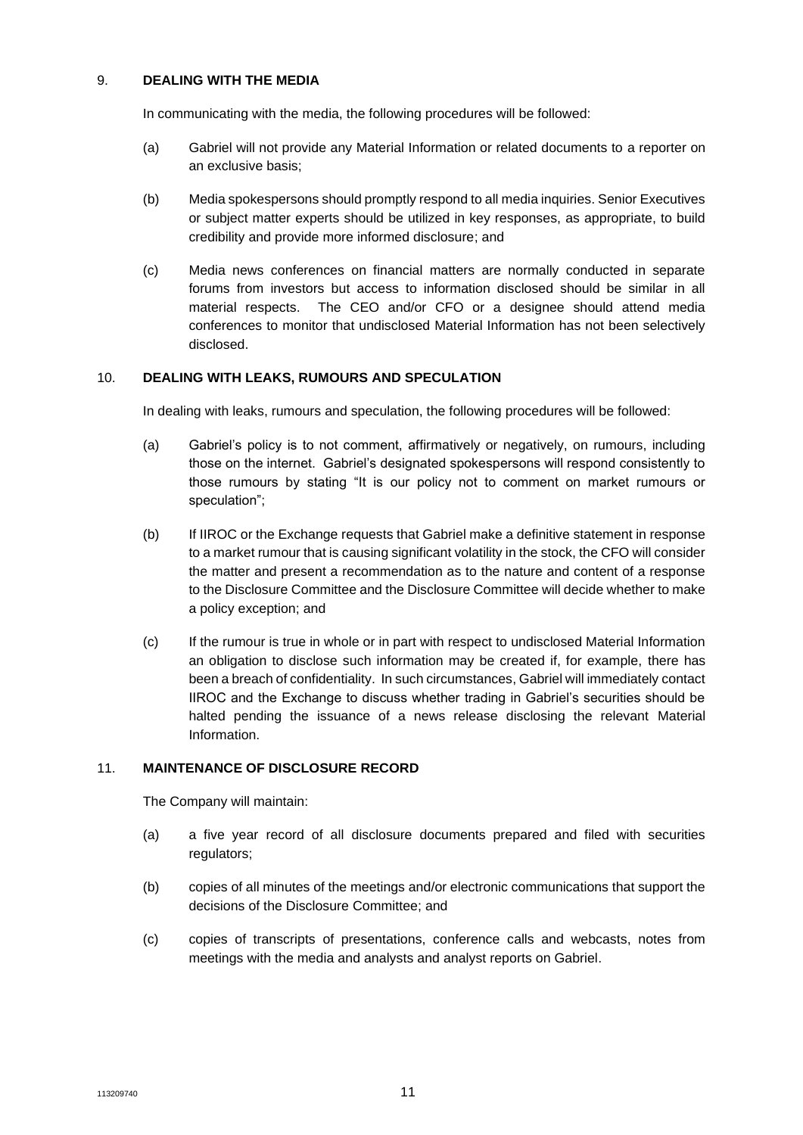#### 9. **DEALING WITH THE MEDIA**

In communicating with the media, the following procedures will be followed:

- (a) Gabriel will not provide any Material Information or related documents to a reporter on an exclusive basis;
- (b) Media spokespersons should promptly respond to all media inquiries. Senior Executives or subject matter experts should be utilized in key responses, as appropriate, to build credibility and provide more informed disclosure; and
- (c) Media news conferences on financial matters are normally conducted in separate forums from investors but access to information disclosed should be similar in all material respects. The CEO and/or CFO or a designee should attend media conferences to monitor that undisclosed Material Information has not been selectively disclosed.

## 10. **DEALING WITH LEAKS, RUMOURS AND SPECULATION**

In dealing with leaks, rumours and speculation, the following procedures will be followed:

- (a) Gabriel's policy is to not comment, affirmatively or negatively, on rumours, including those on the internet. Gabriel's designated spokespersons will respond consistently to those rumours by stating "It is our policy not to comment on market rumours or speculation";
- (b) If IIROC or the Exchange requests that Gabriel make a definitive statement in response to a market rumour that is causing significant volatility in the stock, the CFO will consider the matter and present a recommendation as to the nature and content of a response to the Disclosure Committee and the Disclosure Committee will decide whether to make a policy exception; and
- (c) If the rumour is true in whole or in part with respect to undisclosed Material Information an obligation to disclose such information may be created if, for example, there has been a breach of confidentiality. In such circumstances, Gabriel will immediately contact IIROC and the Exchange to discuss whether trading in Gabriel's securities should be halted pending the issuance of a news release disclosing the relevant Material Information.

#### 11. **MAINTENANCE OF DISCLOSURE RECORD**

The Company will maintain:

- (a) a five year record of all disclosure documents prepared and filed with securities regulators:
- (b) copies of all minutes of the meetings and/or electronic communications that support the decisions of the Disclosure Committee; and
- (c) copies of transcripts of presentations, conference calls and webcasts, notes from meetings with the media and analysts and analyst reports on Gabriel.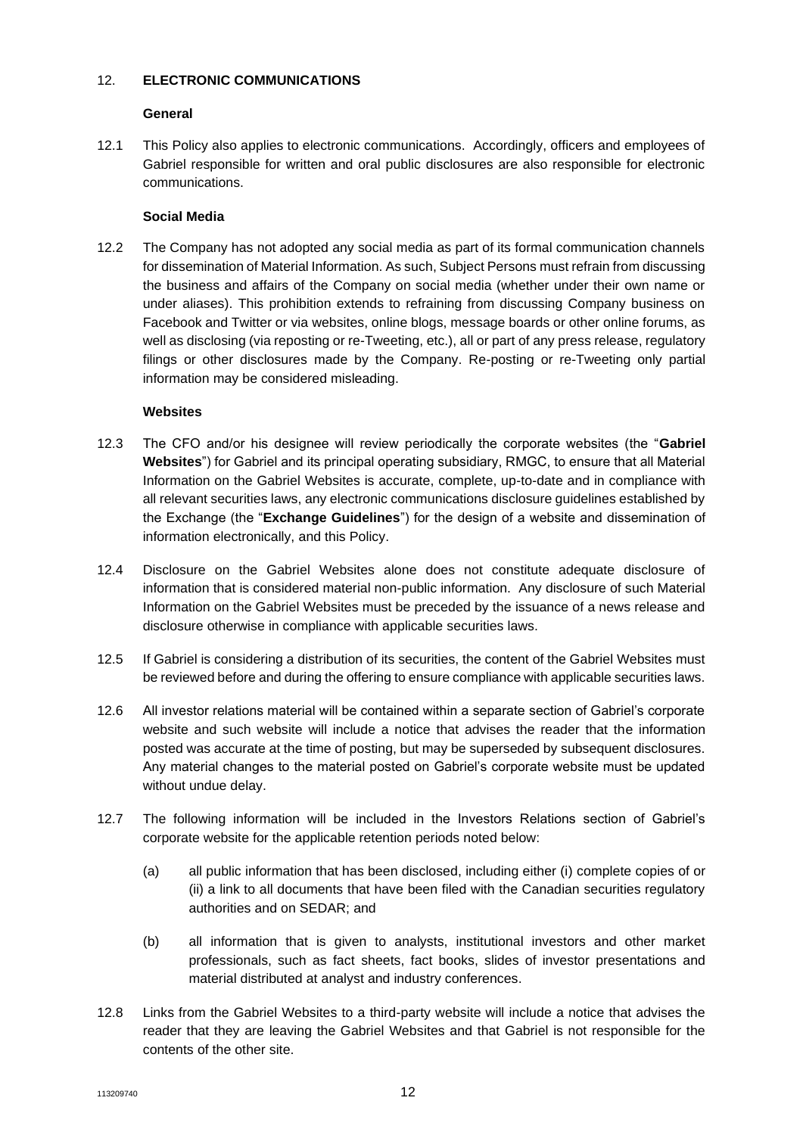## 12. **ELECTRONIC COMMUNICATIONS**

# **General**

12.1 This Policy also applies to electronic communications. Accordingly, officers and employees of Gabriel responsible for written and oral public disclosures are also responsible for electronic communications.

# **Social Media**

12.2 The Company has not adopted any social media as part of its formal communication channels for dissemination of Material Information. As such, Subject Persons must refrain from discussing the business and affairs of the Company on social media (whether under their own name or under aliases). This prohibition extends to refraining from discussing Company business on Facebook and Twitter or via websites, online blogs, message boards or other online forums, as well as disclosing (via reposting or re-Tweeting, etc.), all or part of any press release, regulatory filings or other disclosures made by the Company. Re-posting or re-Tweeting only partial information may be considered misleading.

# **Websites**

- 12.3 The CFO and/or his designee will review periodically the corporate websites (the "**Gabriel Websites**") for Gabriel and its principal operating subsidiary, RMGC, to ensure that all Material Information on the Gabriel Websites is accurate, complete, up-to-date and in compliance with all relevant securities laws, any electronic communications disclosure guidelines established by the Exchange (the "**Exchange Guidelines**") for the design of a website and dissemination of information electronically, and this Policy.
- 12.4 Disclosure on the Gabriel Websites alone does not constitute adequate disclosure of information that is considered material non-public information. Any disclosure of such Material Information on the Gabriel Websites must be preceded by the issuance of a news release and disclosure otherwise in compliance with applicable securities laws.
- 12.5 If Gabriel is considering a distribution of its securities, the content of the Gabriel Websites must be reviewed before and during the offering to ensure compliance with applicable securities laws.
- 12.6 All investor relations material will be contained within a separate section of Gabriel's corporate website and such website will include a notice that advises the reader that the information posted was accurate at the time of posting, but may be superseded by subsequent disclosures. Any material changes to the material posted on Gabriel's corporate website must be updated without undue delay.
- 12.7 The following information will be included in the Investors Relations section of Gabriel's corporate website for the applicable retention periods noted below:
	- (a) all public information that has been disclosed, including either (i) complete copies of or (ii) a link to all documents that have been filed with the Canadian securities regulatory authorities and on SEDAR; and
	- (b) all information that is given to analysts, institutional investors and other market professionals, such as fact sheets, fact books, slides of investor presentations and material distributed at analyst and industry conferences.
- 12.8 Links from the Gabriel Websites to a third-party website will include a notice that advises the reader that they are leaving the Gabriel Websites and that Gabriel is not responsible for the contents of the other site.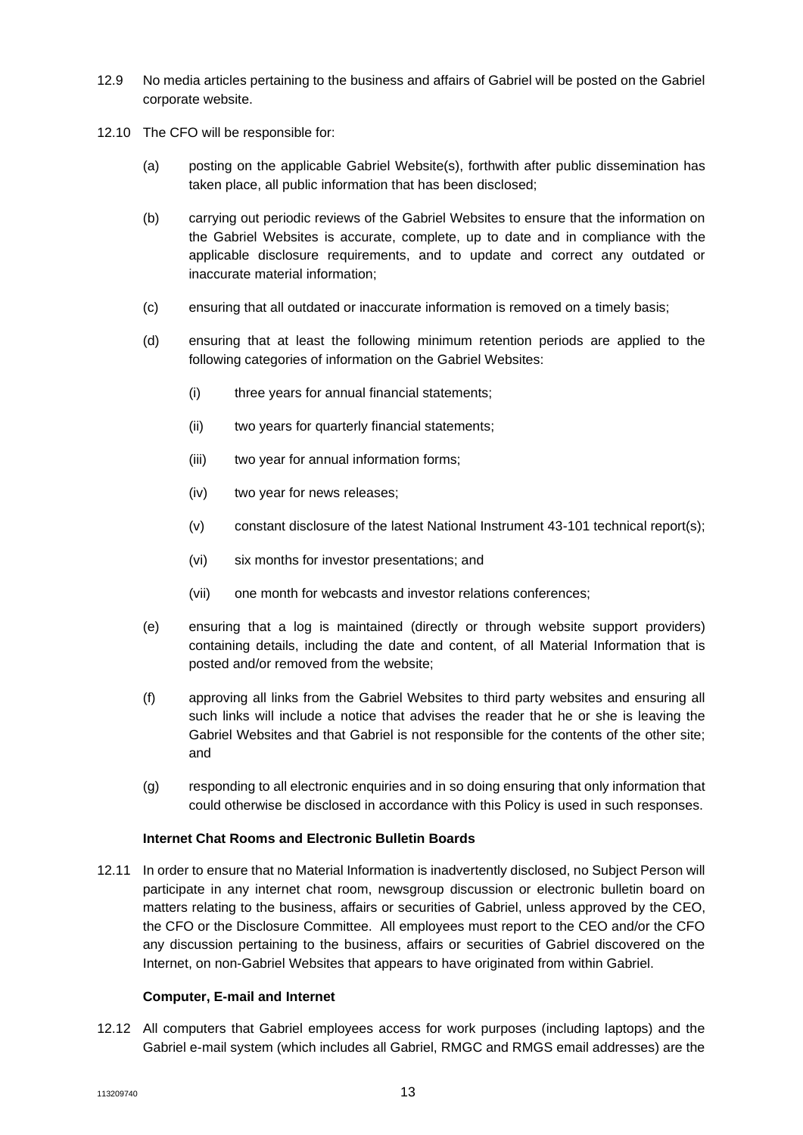- 12.9 No media articles pertaining to the business and affairs of Gabriel will be posted on the Gabriel corporate website.
- 12.10 The CFO will be responsible for:
	- (a) posting on the applicable Gabriel Website(s), forthwith after public dissemination has taken place, all public information that has been disclosed;
	- (b) carrying out periodic reviews of the Gabriel Websites to ensure that the information on the Gabriel Websites is accurate, complete, up to date and in compliance with the applicable disclosure requirements, and to update and correct any outdated or inaccurate material information;
	- (c) ensuring that all outdated or inaccurate information is removed on a timely basis;
	- (d) ensuring that at least the following minimum retention periods are applied to the following categories of information on the Gabriel Websites:
		- (i) three years for annual financial statements;
		- (ii) two years for quarterly financial statements;
		- (iii) two year for annual information forms;
		- (iv) two year for news releases;
		- (v) constant disclosure of the latest National Instrument 43-101 technical report(s);
		- (vi) six months for investor presentations; and
		- (vii) one month for webcasts and investor relations conferences;
	- (e) ensuring that a log is maintained (directly or through website support providers) containing details, including the date and content, of all Material Information that is posted and/or removed from the website;
	- (f) approving all links from the Gabriel Websites to third party websites and ensuring all such links will include a notice that advises the reader that he or she is leaving the Gabriel Websites and that Gabriel is not responsible for the contents of the other site; and
	- (g) responding to all electronic enquiries and in so doing ensuring that only information that could otherwise be disclosed in accordance with this Policy is used in such responses.

## **Internet Chat Rooms and Electronic Bulletin Boards**

12.11 In order to ensure that no Material Information is inadvertently disclosed, no Subject Person will participate in any internet chat room, newsgroup discussion or electronic bulletin board on matters relating to the business, affairs or securities of Gabriel, unless approved by the CEO, the CFO or the Disclosure Committee. All employees must report to the CEO and/or the CFO any discussion pertaining to the business, affairs or securities of Gabriel discovered on the Internet, on non-Gabriel Websites that appears to have originated from within Gabriel.

## **Computer, E-mail and Internet**

12.12 All computers that Gabriel employees access for work purposes (including laptops) and the Gabriel e-mail system (which includes all Gabriel, RMGC and RMGS email addresses) are the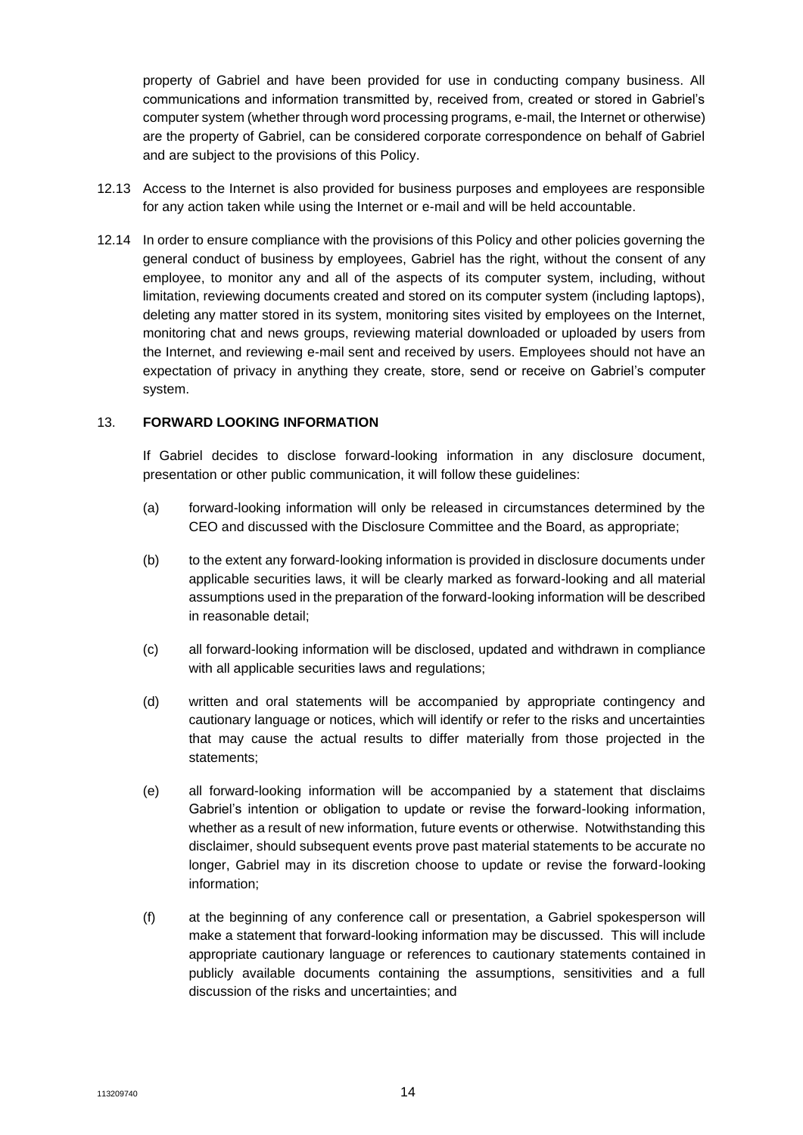property of Gabriel and have been provided for use in conducting company business. All communications and information transmitted by, received from, created or stored in Gabriel's computer system (whether through word processing programs, e-mail, the Internet or otherwise) are the property of Gabriel, can be considered corporate correspondence on behalf of Gabriel and are subject to the provisions of this Policy.

- 12.13 Access to the Internet is also provided for business purposes and employees are responsible for any action taken while using the Internet or e-mail and will be held accountable.
- 12.14 In order to ensure compliance with the provisions of this Policy and other policies governing the general conduct of business by employees, Gabriel has the right, without the consent of any employee, to monitor any and all of the aspects of its computer system, including, without limitation, reviewing documents created and stored on its computer system (including laptops), deleting any matter stored in its system, monitoring sites visited by employees on the Internet, monitoring chat and news groups, reviewing material downloaded or uploaded by users from the Internet, and reviewing e-mail sent and received by users. Employees should not have an expectation of privacy in anything they create, store, send or receive on Gabriel's computer system.

#### 13. **FORWARD LOOKING INFORMATION**

If Gabriel decides to disclose forward-looking information in any disclosure document, presentation or other public communication, it will follow these guidelines:

- (a) forward-looking information will only be released in circumstances determined by the CEO and discussed with the Disclosure Committee and the Board, as appropriate;
- (b) to the extent any forward-looking information is provided in disclosure documents under applicable securities laws, it will be clearly marked as forward-looking and all material assumptions used in the preparation of the forward-looking information will be described in reasonable detail;
- (c) all forward-looking information will be disclosed, updated and withdrawn in compliance with all applicable securities laws and regulations;
- (d) written and oral statements will be accompanied by appropriate contingency and cautionary language or notices, which will identify or refer to the risks and uncertainties that may cause the actual results to differ materially from those projected in the statements;
- (e) all forward-looking information will be accompanied by a statement that disclaims Gabriel's intention or obligation to update or revise the forward-looking information, whether as a result of new information, future events or otherwise. Notwithstanding this disclaimer, should subsequent events prove past material statements to be accurate no longer, Gabriel may in its discretion choose to update or revise the forward-looking information;
- (f) at the beginning of any conference call or presentation, a Gabriel spokesperson will make a statement that forward-looking information may be discussed. This will include appropriate cautionary language or references to cautionary statements contained in publicly available documents containing the assumptions, sensitivities and a full discussion of the risks and uncertainties; and